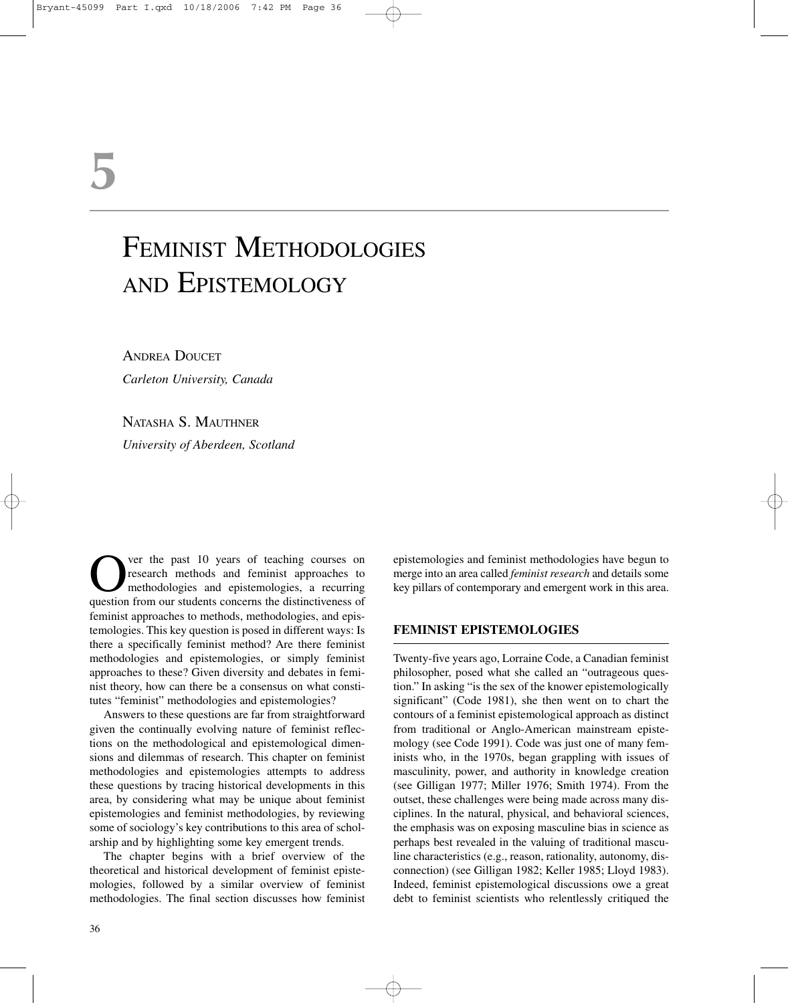# **5**

# FEMINIST METHODOLOGIES AND EPISTEMOLOGY

ANDREA DOUCET *Carleton University, Canada*

NATASHA S. MAUTHNER

*University of Aberdeen, Scotland*

Over the past 10 years of teaching courses on<br>research methods and feminist approaches to<br>methodologies and epistemologies, a recurring<br>question from our students concerns the distinctiveness of research methods and feminist approaches to methodologies and epistemologies, a recurring question from our students concerns the distinctiveness of feminist approaches to methods, methodologies, and epistemologies. This key question is posed in different ways: Is there a specifically feminist method? Are there feminist methodologies and epistemologies, or simply feminist approaches to these? Given diversity and debates in feminist theory, how can there be a consensus on what constitutes "feminist" methodologies and epistemologies?

Answers to these questions are far from straightforward given the continually evolving nature of feminist reflections on the methodological and epistemological dimensions and dilemmas of research. This chapter on feminist methodologies and epistemologies attempts to address these questions by tracing historical developments in this area, by considering what may be unique about feminist epistemologies and feminist methodologies, by reviewing some of sociology's key contributions to this area of scholarship and by highlighting some key emergent trends.

The chapter begins with a brief overview of the theoretical and historical development of feminist epistemologies, followed by a similar overview of feminist methodologies. The final section discusses how feminist epistemologies and feminist methodologies have begun to merge into an area called *feminist research* and details some key pillars of contemporary and emergent work in this area.

#### **FEMINIST EPISTEMOLOGIES**

Twenty-five years ago, Lorraine Code, a Canadian feminist philosopher, posed what she called an "outrageous question." In asking "is the sex of the knower epistemologically significant" (Code 1981), she then went on to chart the contours of a feminist epistemological approach as distinct from traditional or Anglo-American mainstream epistemology (see Code 1991). Code was just one of many feminists who, in the 1970s, began grappling with issues of masculinity, power, and authority in knowledge creation (see Gilligan 1977; Miller 1976; Smith 1974). From the outset, these challenges were being made across many disciplines. In the natural, physical, and behavioral sciences, the emphasis was on exposing masculine bias in science as perhaps best revealed in the valuing of traditional masculine characteristics (e.g., reason, rationality, autonomy, disconnection) (see Gilligan 1982; Keller 1985; Lloyd 1983). Indeed, feminist epistemological discussions owe a great debt to feminist scientists who relentlessly critiqued the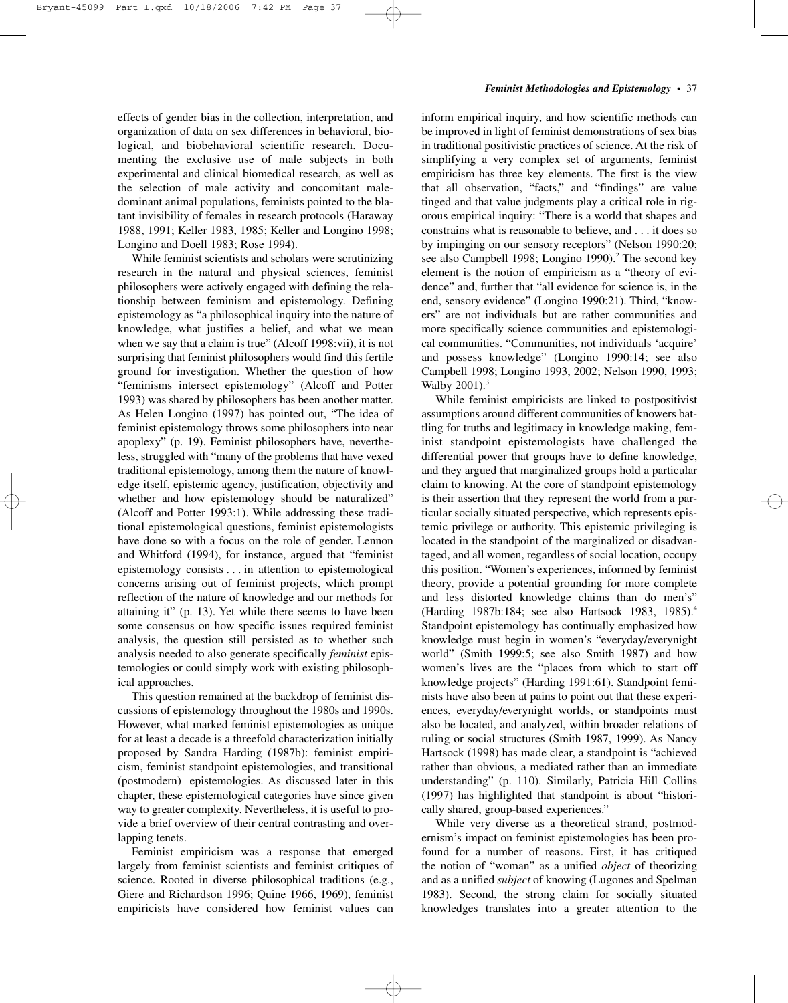#### *Feminist Methodologies and Epistemology*–•–37

effects of gender bias in the collection, interpretation, and organization of data on sex differences in behavioral, biological, and biobehavioral scientific research. Documenting the exclusive use of male subjects in both experimental and clinical biomedical research, as well as the selection of male activity and concomitant maledominant animal populations, feminists pointed to the blatant invisibility of females in research protocols (Haraway 1988, 1991; Keller 1983, 1985; Keller and Longino 1998; Longino and Doell 1983; Rose 1994).

While feminist scientists and scholars were scrutinizing research in the natural and physical sciences, feminist philosophers were actively engaged with defining the relationship between feminism and epistemology. Defining epistemology as "a philosophical inquiry into the nature of knowledge, what justifies a belief, and what we mean when we say that a claim is true" (Alcoff 1998:vii), it is not surprising that feminist philosophers would find this fertile ground for investigation. Whether the question of how "feminisms intersect epistemology" (Alcoff and Potter 1993) was shared by philosophers has been another matter. As Helen Longino (1997) has pointed out, "The idea of feminist epistemology throws some philosophers into near apoplexy" (p. 19). Feminist philosophers have, nevertheless, struggled with "many of the problems that have vexed traditional epistemology, among them the nature of knowledge itself, epistemic agency, justification, objectivity and whether and how epistemology should be naturalized" (Alcoff and Potter 1993:1). While addressing these traditional epistemological questions, feminist epistemologists have done so with a focus on the role of gender. Lennon and Whitford (1994), for instance, argued that "feminist epistemology consists . . . in attention to epistemological concerns arising out of feminist projects, which prompt reflection of the nature of knowledge and our methods for attaining it" (p. 13). Yet while there seems to have been some consensus on how specific issues required feminist analysis, the question still persisted as to whether such analysis needed to also generate specifically *feminist* epistemologies or could simply work with existing philosophical approaches.

This question remained at the backdrop of feminist discussions of epistemology throughout the 1980s and 1990s. However, what marked feminist epistemologies as unique for at least a decade is a threefold characterization initially proposed by Sandra Harding (1987b): feminist empiricism, feminist standpoint epistemologies, and transitional (postmodern)<sup>1</sup> epistemologies. As discussed later in this chapter, these epistemological categories have since given way to greater complexity. Nevertheless, it is useful to provide a brief overview of their central contrasting and overlapping tenets.

Feminist empiricism was a response that emerged largely from feminist scientists and feminist critiques of science. Rooted in diverse philosophical traditions (e.g., Giere and Richardson 1996; Quine 1966, 1969), feminist empiricists have considered how feminist values can inform empirical inquiry, and how scientific methods can be improved in light of feminist demonstrations of sex bias in traditional positivistic practices of science. At the risk of simplifying a very complex set of arguments, feminist empiricism has three key elements. The first is the view that all observation, "facts," and "findings" are value tinged and that value judgments play a critical role in rigorous empirical inquiry: "There is a world that shapes and constrains what is reasonable to believe, and . . . it does so by impinging on our sensory receptors" (Nelson 1990:20; see also Campbell 1998; Longino 1990).<sup>2</sup> The second key element is the notion of empiricism as a "theory of evidence" and, further that "all evidence for science is, in the end, sensory evidence" (Longino 1990:21). Third, "knowers" are not individuals but are rather communities and more specifically science communities and epistemological communities. "Communities, not individuals 'acquire' and possess knowledge" (Longino 1990:14; see also Campbell 1998; Longino 1993, 2002; Nelson 1990, 1993; Walby 2001).<sup>3</sup>

While feminist empiricists are linked to postpositivist assumptions around different communities of knowers battling for truths and legitimacy in knowledge making, feminist standpoint epistemologists have challenged the differential power that groups have to define knowledge, and they argued that marginalized groups hold a particular claim to knowing. At the core of standpoint epistemology is their assertion that they represent the world from a particular socially situated perspective, which represents epistemic privilege or authority. This epistemic privileging is located in the standpoint of the marginalized or disadvantaged, and all women, regardless of social location, occupy this position. "Women's experiences, informed by feminist theory, provide a potential grounding for more complete and less distorted knowledge claims than do men's" (Harding 1987b:184; see also Hartsock 1983, 1985).4 Standpoint epistemology has continually emphasized how knowledge must begin in women's "everyday/everynight world" (Smith 1999:5; see also Smith 1987) and how women's lives are the "places from which to start off knowledge projects" (Harding 1991:61). Standpoint feminists have also been at pains to point out that these experiences, everyday/everynight worlds, or standpoints must also be located, and analyzed, within broader relations of ruling or social structures (Smith 1987, 1999). As Nancy Hartsock (1998) has made clear, a standpoint is "achieved rather than obvious, a mediated rather than an immediate understanding" (p. 110). Similarly, Patricia Hill Collins (1997) has highlighted that standpoint is about "historically shared, group-based experiences."

While very diverse as a theoretical strand, postmodernism's impact on feminist epistemologies has been profound for a number of reasons. First, it has critiqued the notion of "woman" as a unified *object* of theorizing and as a unified *subject* of knowing (Lugones and Spelman 1983). Second, the strong claim for socially situated knowledges translates into a greater attention to the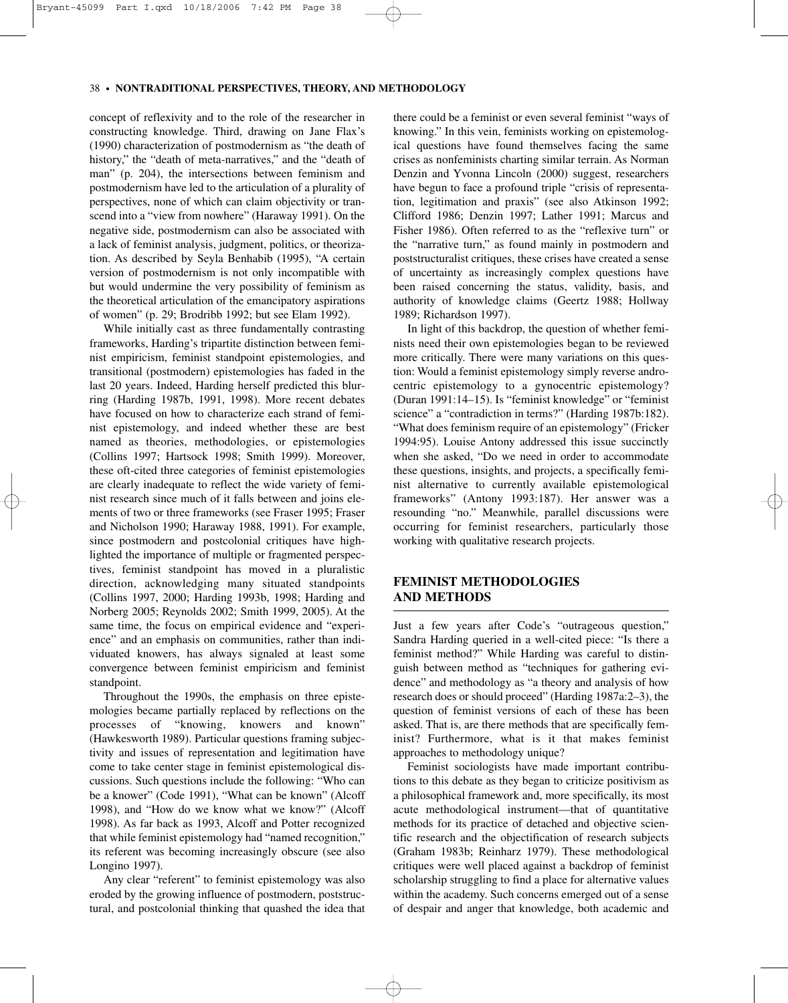#### 38–•–**NONTRADITIONAL PERSPECTIVES, THEORY, AND METHODOLOGY**

concept of reflexivity and to the role of the researcher in constructing knowledge. Third, drawing on Jane Flax's (1990) characterization of postmodernism as "the death of history," the "death of meta-narratives," and the "death of man" (p. 204), the intersections between feminism and postmodernism have led to the articulation of a plurality of perspectives, none of which can claim objectivity or transcend into a "view from nowhere" (Haraway 1991). On the negative side, postmodernism can also be associated with a lack of feminist analysis, judgment, politics, or theorization. As described by Seyla Benhabib (1995), "A certain version of postmodernism is not only incompatible with but would undermine the very possibility of feminism as the theoretical articulation of the emancipatory aspirations of women" (p. 29; Brodribb 1992; but see Elam 1992).

While initially cast as three fundamentally contrasting frameworks, Harding's tripartite distinction between feminist empiricism, feminist standpoint epistemologies, and transitional (postmodern) epistemologies has faded in the last 20 years. Indeed, Harding herself predicted this blurring (Harding 1987b, 1991, 1998). More recent debates have focused on how to characterize each strand of feminist epistemology, and indeed whether these are best named as theories, methodologies, or epistemologies (Collins 1997; Hartsock 1998; Smith 1999). Moreover, these oft-cited three categories of feminist epistemologies are clearly inadequate to reflect the wide variety of feminist research since much of it falls between and joins elements of two or three frameworks (see Fraser 1995; Fraser and Nicholson 1990; Haraway 1988, 1991). For example, since postmodern and postcolonial critiques have highlighted the importance of multiple or fragmented perspectives, feminist standpoint has moved in a pluralistic direction, acknowledging many situated standpoints (Collins 1997, 2000; Harding 1993b, 1998; Harding and Norberg 2005; Reynolds 2002; Smith 1999, 2005). At the same time, the focus on empirical evidence and "experience" and an emphasis on communities, rather than individuated knowers, has always signaled at least some convergence between feminist empiricism and feminist standpoint.

Throughout the 1990s, the emphasis on three epistemologies became partially replaced by reflections on the processes of "knowing, knowers and known" (Hawkesworth 1989). Particular questions framing subjectivity and issues of representation and legitimation have come to take center stage in feminist epistemological discussions. Such questions include the following: "Who can be a knower" (Code 1991), "What can be known" (Alcoff 1998), and "How do we know what we know?" (Alcoff 1998). As far back as 1993, Alcoff and Potter recognized that while feminist epistemology had "named recognition," its referent was becoming increasingly obscure (see also Longino 1997).

Any clear "referent" to feminist epistemology was also eroded by the growing influence of postmodern, poststructural, and postcolonial thinking that quashed the idea that there could be a feminist or even several feminist "ways of knowing." In this vein, feminists working on epistemological questions have found themselves facing the same crises as nonfeminists charting similar terrain. As Norman Denzin and Yvonna Lincoln (2000) suggest, researchers have begun to face a profound triple "crisis of representation, legitimation and praxis" (see also Atkinson 1992; Clifford 1986; Denzin 1997; Lather 1991; Marcus and Fisher 1986). Often referred to as the "reflexive turn" or the "narrative turn," as found mainly in postmodern and poststructuralist critiques, these crises have created a sense of uncertainty as increasingly complex questions have been raised concerning the status, validity, basis, and authority of knowledge claims (Geertz 1988; Hollway 1989; Richardson 1997).

In light of this backdrop, the question of whether feminists need their own epistemologies began to be reviewed more critically. There were many variations on this question: Would a feminist epistemology simply reverse androcentric epistemology to a gynocentric epistemology? (Duran 1991:14–15). Is "feminist knowledge" or "feminist science" a "contradiction in terms?" (Harding 1987b:182). "What does feminism require of an epistemology" (Fricker 1994:95). Louise Antony addressed this issue succinctly when she asked, "Do we need in order to accommodate these questions, insights, and projects, a specifically feminist alternative to currently available epistemological frameworks" (Antony 1993:187). Her answer was a resounding "no." Meanwhile, parallel discussions were occurring for feminist researchers, particularly those working with qualitative research projects.

# **FEMINIST METHODOLOGIES AND METHODS**

Just a few years after Code's "outrageous question," Sandra Harding queried in a well-cited piece: "Is there a feminist method?" While Harding was careful to distinguish between method as "techniques for gathering evidence" and methodology as "a theory and analysis of how research does or should proceed" (Harding 1987a:2–3), the question of feminist versions of each of these has been asked. That is, are there methods that are specifically feminist? Furthermore, what is it that makes feminist approaches to methodology unique?

Feminist sociologists have made important contributions to this debate as they began to criticize positivism as a philosophical framework and, more specifically, its most acute methodological instrument—that of quantitative methods for its practice of detached and objective scientific research and the objectification of research subjects (Graham 1983b; Reinharz 1979). These methodological critiques were well placed against a backdrop of feminist scholarship struggling to find a place for alternative values within the academy. Such concerns emerged out of a sense of despair and anger that knowledge, both academic and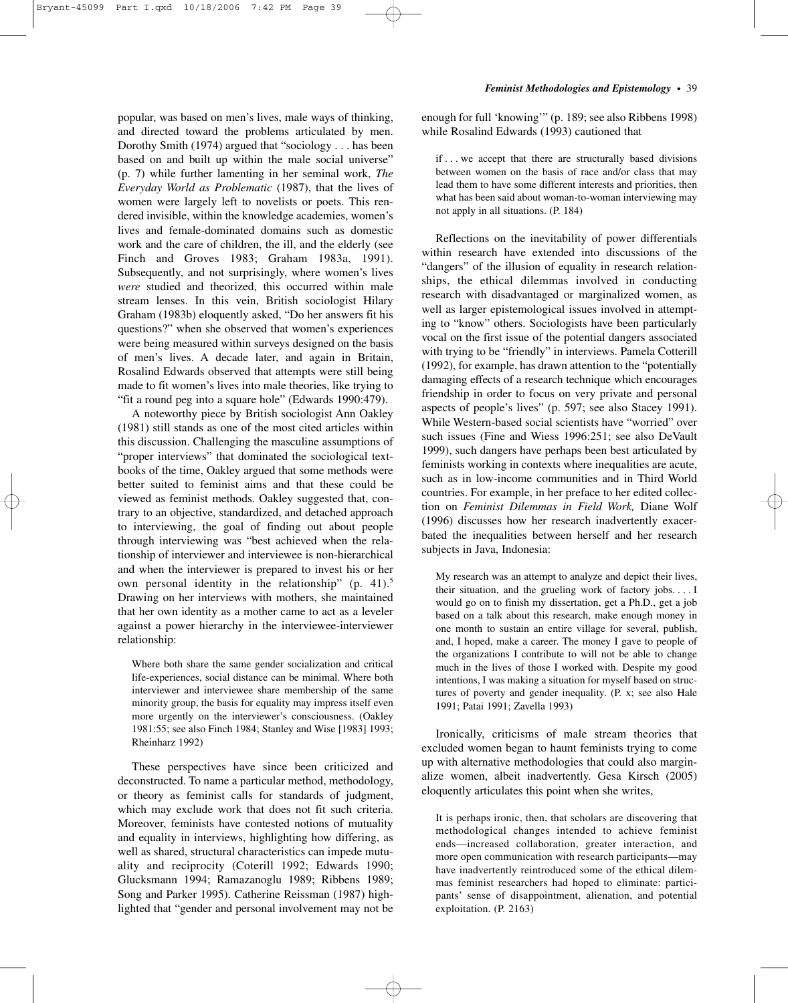popular, was based on men's lives, male ways of thinking, and directed toward the problems articulated by men. Dorothy Smith (1974) argued that "sociology... has been based on and built up within the male social universe" (p. 7) while further lamenting in her seminal work, *The Everyday World as Problematic* (1987), that the lives of women were largely left to novelists or poets. This rendered invisible, within the knowledge academies, women's lives and female-dominated domains such as domestic work and the care of children, the ill, and the elderly (see Finch and Groves 1983; Graham 1983a, 1991). Subsequently, and not surprisingly, where women's lives *were* studied and theorized, this occurred within male stream lenses. In this vein, British sociologist Hilary Graham (1983b) eloquently asked, "Do her answers fit his questions?" when she observed that women's experiences were being measured within surveys designed on the basis of men's lives. A decade later, and again in Britain, Rosalind Edwards observed that attempts were still being made to fit women's lives into male theories, like trying to "fit a round peg into a square hole" (Edwards 1990:479).

A noteworthy piece by British sociologist Ann Oakley (1981) still stands as one of the most cited articles within this discussion. Challenging the masculine assumptions of "proper interviews" that dominated the sociological textbooks of the time, Oakley argued that some methods were better suited to feminist aims and that these could be viewed as feminist methods. Oakley suggested that, contrary to an objective, standardized, and detached approach to interviewing, the goal of finding out about people through interviewing was "best achieved when the relationship of interviewer and interviewee is non-hierarchical and when the interviewer is prepared to invest his or her own personal identity in the relationship" (p. 41).<sup>5</sup> Drawing on her interviews with mothers, she maintained that her own identity as a mother came to act as a leveler against a power hierarchy in the interviewee-interviewer relationship:

Where both share the same gender socialization and critical life-experiences, social distance can be minimal. Where both interviewer and interviewee share membership of the same minority group, the basis for equality may impress itself even more urgently on the interviewer's consciousness. (Oakley 1981:55; see also Finch 1984; Stanley and Wise [1983] 1993; Rheinharz 1992)

These perspectives have since been criticized and deconstructed. To name a particular method, methodology, or theory as feminist calls for standards of judgment, which may exclude work that does not fit such criteria. Moreover, feminists have contested notions of mutuality and equality in interviews, highlighting how differing, as well as shared, structural characteristics can impede mutuality and reciprocity (Coterill 1992; Edwards 1990; Glucksmann 1994; Ramazanoglu 1989; Ribbens 1989; Song and Parker 1995). Catherine Reissman (1987) highlighted that "gender and personal involvement may not be

#### *Feminist Methodologies and Epistemology*–•–39

enough for full 'knowing'" (p. 189; see also Ribbens 1998) while Rosalind Edwards (1993) cautioned that

if . . . we accept that there are structurally based divisions between women on the basis of race and/or class that may lead them to have some different interests and priorities, then what has been said about woman-to-woman interviewing may not apply in all situations. (P. 184)

Reflections on the inevitability of power differentials within research have extended into discussions of the "dangers" of the illusion of equality in research relationships, the ethical dilemmas involved in conducting research with disadvantaged or marginalized women, as well as larger epistemological issues involved in attempting to "know" others. Sociologists have been particularly vocal on the first issue of the potential dangers associated with trying to be "friendly" in interviews. Pamela Cotterill (1992), for example, has drawn attention to the "potentially damaging effects of a research technique which encourages friendship in order to focus on very private and personal aspects of people's lives" (p. 597; see also Stacey 1991). While Western-based social scientists have "worried" over such issues (Fine and Wiess 1996:251; see also DeVault 1999), such dangers have perhaps been best articulated by feminists working in contexts where inequalities are acute, such as in low-income communities and in Third World countries. For example, in her preface to her edited collection on *Feminist Dilemmas in Field Work,* Diane Wolf (1996) discusses how her research inadvertently exacerbated the inequalities between herself and her research subjects in Java, Indonesia:

My research was an attempt to analyze and depict their lives, their situation, and the grueling work of factory jobs....I would go on to finish my dissertation, get a Ph.D., get a job based on a talk about this research, make enough money in one month to sustain an entire village for several, publish, and, I hoped, make a career. The money I gave to people of the organizations I contribute to will not be able to change much in the lives of those I worked with. Despite my good intentions, I was making a situation for myself based on structures of poverty and gender inequality. (P. x; see also Hale 1991; Patai 1991; Zavella 1993)

Ironically, criticisms of male stream theories that excluded women began to haunt feminists trying to come up with alternative methodologies that could also marginalize women, albeit inadvertently. Gesa Kirsch (2005) eloquently articulates this point when she writes,

It is perhaps ironic, then, that scholars are discovering that methodological changes intended to achieve feminist ends—increased collaboration, greater interaction, and more open communication with research participants—may have inadvertently reintroduced some of the ethical dilemmas feminist researchers had hoped to eliminate: participants' sense of disappointment, alienation, and potential exploitation. (P. 2163)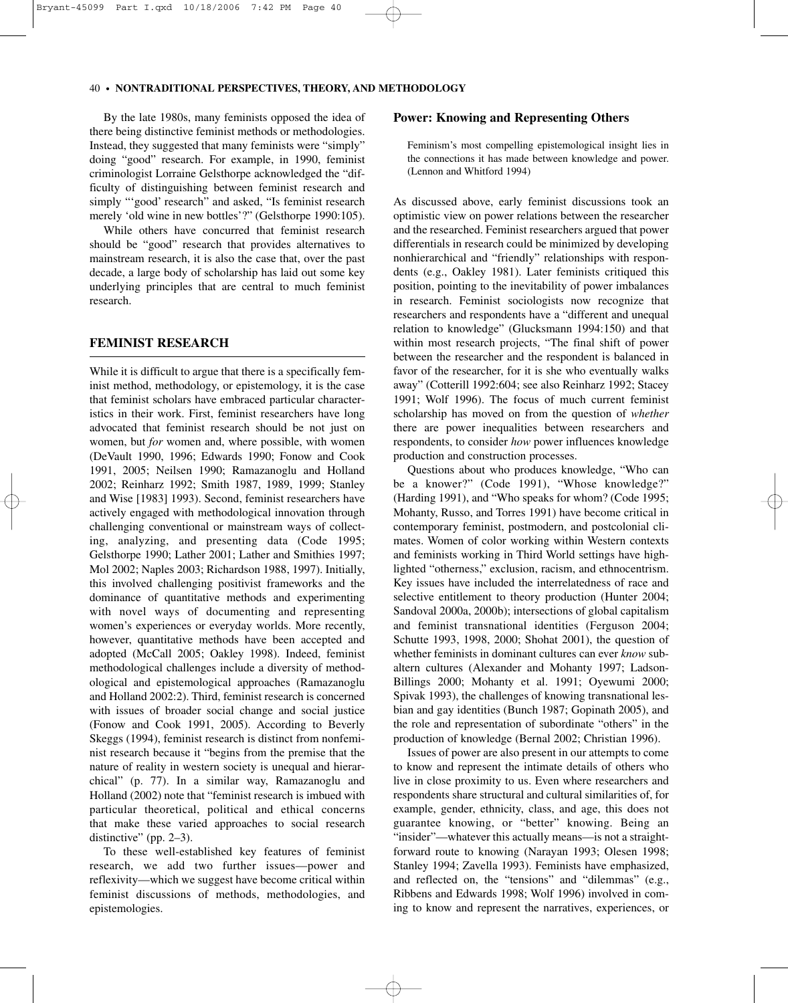#### 40–•–**NONTRADITIONAL PERSPECTIVES, THEORY, AND METHODOLOGY**

By the late 1980s, many feminists opposed the idea of there being distinctive feminist methods or methodologies. Instead, they suggested that many feminists were "simply" doing "good" research. For example, in 1990, feminist criminologist Lorraine Gelsthorpe acknowledged the "difficulty of distinguishing between feminist research and simply "'good' research" and asked, "Is feminist research merely 'old wine in new bottles'?" (Gelsthorpe 1990:105).

While others have concurred that feminist research should be "good" research that provides alternatives to mainstream research, it is also the case that, over the past decade, a large body of scholarship has laid out some key underlying principles that are central to much feminist research.

## **FEMINIST RESEARCH**

While it is difficult to argue that there is a specifically feminist method, methodology, or epistemology, it is the case that feminist scholars have embraced particular characteristics in their work. First, feminist researchers have long advocated that feminist research should be not just on women, but *for* women and, where possible, with women (DeVault 1990, 1996; Edwards 1990; Fonow and Cook 1991, 2005; Neilsen 1990; Ramazanoglu and Holland 2002; Reinharz 1992; Smith 1987, 1989, 1999; Stanley and Wise [1983] 1993). Second, feminist researchers have actively engaged with methodological innovation through challenging conventional or mainstream ways of collecting, analyzing, and presenting data (Code 1995; Gelsthorpe 1990; Lather 2001; Lather and Smithies 1997; Mol 2002; Naples 2003; Richardson 1988, 1997). Initially, this involved challenging positivist frameworks and the dominance of quantitative methods and experimenting with novel ways of documenting and representing women's experiences or everyday worlds. More recently, however, quantitative methods have been accepted and adopted (McCall 2005; Oakley 1998). Indeed, feminist methodological challenges include a diversity of methodological and epistemological approaches (Ramazanoglu and Holland 2002:2). Third, feminist research is concerned with issues of broader social change and social justice (Fonow and Cook 1991, 2005). According to Beverly Skeggs (1994), feminist research is distinct from nonfeminist research because it "begins from the premise that the nature of reality in western society is unequal and hierarchical" (p. 77). In a similar way, Ramazanoglu and Holland (2002) note that "feminist research is imbued with particular theoretical, political and ethical concerns that make these varied approaches to social research distinctive" (pp. 2–3).

To these well-established key features of feminist research, we add two further issues—power and reflexivity—which we suggest have become critical within feminist discussions of methods, methodologies, and epistemologies.

#### **Power: Knowing and Representing Others**

Feminism's most compelling epistemological insight lies in the connections it has made between knowledge and power. (Lennon and Whitford 1994)

As discussed above, early feminist discussions took an optimistic view on power relations between the researcher and the researched. Feminist researchers argued that power differentials in research could be minimized by developing nonhierarchical and "friendly" relationships with respondents (e.g., Oakley 1981). Later feminists critiqued this position, pointing to the inevitability of power imbalances in research. Feminist sociologists now recognize that researchers and respondents have a "different and unequal relation to knowledge" (Glucksmann 1994:150) and that within most research projects, "The final shift of power between the researcher and the respondent is balanced in favor of the researcher, for it is she who eventually walks away" (Cotterill 1992:604; see also Reinharz 1992; Stacey 1991; Wolf 1996). The focus of much current feminist scholarship has moved on from the question of *whether* there are power inequalities between researchers and respondents, to consider *how* power influences knowledge production and construction processes.

Questions about who produces knowledge, "Who can be a knower?" (Code 1991), "Whose knowledge?" (Harding 1991), and "Who speaks for whom? (Code 1995; Mohanty, Russo, and Torres 1991) have become critical in contemporary feminist, postmodern, and postcolonial climates. Women of color working within Western contexts and feminists working in Third World settings have highlighted "otherness," exclusion, racism, and ethnocentrism. Key issues have included the interrelatedness of race and selective entitlement to theory production (Hunter 2004; Sandoval 2000a, 2000b); intersections of global capitalism and feminist transnational identities (Ferguson 2004; Schutte 1993, 1998, 2000; Shohat 2001), the question of whether feminists in dominant cultures can ever *know* subaltern cultures (Alexander and Mohanty 1997; Ladson-Billings 2000; Mohanty et al. 1991; Oyewumi 2000; Spivak 1993), the challenges of knowing transnational lesbian and gay identities (Bunch 1987; Gopinath 2005), and the role and representation of subordinate "others" in the production of knowledge (Bernal 2002; Christian 1996).

Issues of power are also present in our attempts to come to know and represent the intimate details of others who live in close proximity to us. Even where researchers and respondents share structural and cultural similarities of, for example, gender, ethnicity, class, and age, this does not guarantee knowing, or "better" knowing. Being an "insider"—whatever this actually means—is not a straightforward route to knowing (Narayan 1993; Olesen 1998; Stanley 1994; Zavella 1993). Feminists have emphasized, and reflected on, the "tensions" and "dilemmas" (e.g., Ribbens and Edwards 1998; Wolf 1996) involved in coming to know and represent the narratives, experiences, or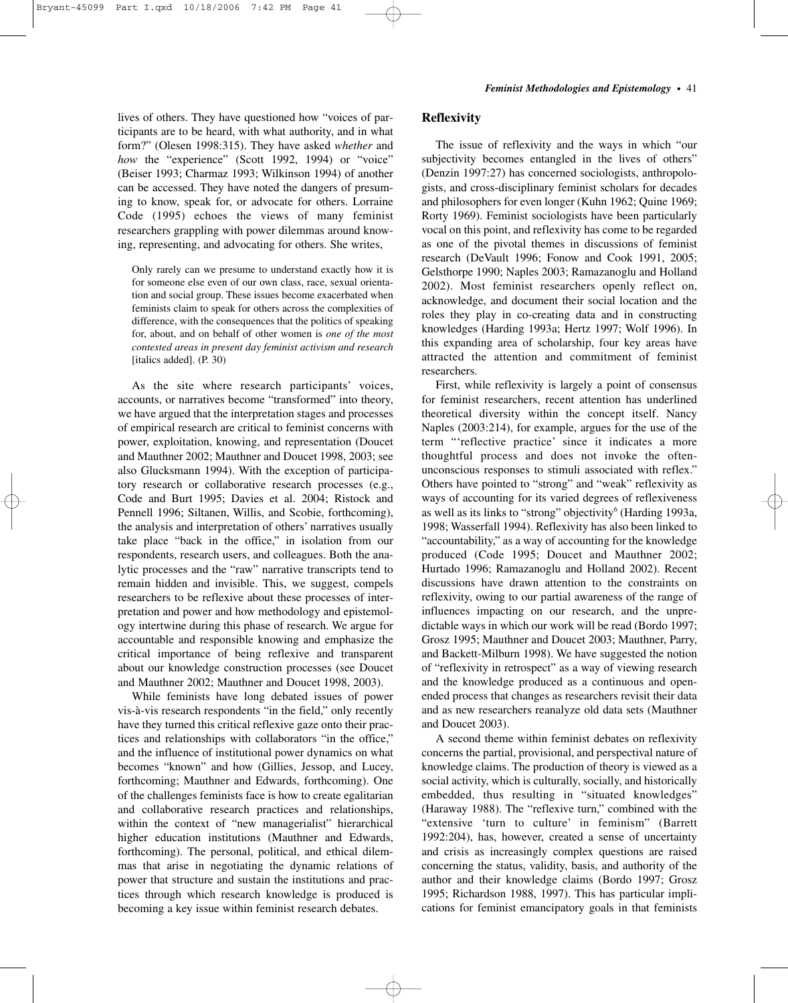lives of others. They have questioned how "voices of participants are to be heard, with what authority, and in what form?" (Olesen 1998:315). They have asked *whether* and *how* the "experience" (Scott 1992, 1994) or "voice" (Beiser 1993; Charmaz 1993; Wilkinson 1994) of another can be accessed. They have noted the dangers of presuming to know, speak for, or advocate for others. Lorraine Code (1995) echoes the views of many feminist researchers grappling with power dilemmas around knowing, representing, and advocating for others. She writes,

Only rarely can we presume to understand exactly how it is for someone else even of our own class, race, sexual orientation and social group. These issues become exacerbated when feminists claim to speak for others across the complexities of difference, with the consequences that the politics of speaking for, about, and on behalf of other women is *one of the most contested areas in present day feminist activism and research* [italics added]. (P. 30)

As the site where research participants' voices, accounts, or narratives become "transformed" into theory, we have argued that the interpretation stages and processes of empirical research are critical to feminist concerns with power, exploitation, knowing, and representation (Doucet and Mauthner 2002; Mauthner and Doucet 1998, 2003; see also Glucksmann 1994). With the exception of participatory research or collaborative research processes (e.g., Code and Burt 1995; Davies et al. 2004; Ristock and Pennell 1996; Siltanen, Willis, and Scobie, forthcoming), the analysis and interpretation of others' narratives usually take place "back in the office," in isolation from our respondents, research users, and colleagues. Both the analytic processes and the "raw" narrative transcripts tend to remain hidden and invisible. This, we suggest, compels researchers to be reflexive about these processes of interpretation and power and how methodology and epistemology intertwine during this phase of research. We argue for accountable and responsible knowing and emphasize the critical importance of being reflexive and transparent about our knowledge construction processes (see Doucet and Mauthner 2002; Mauthner and Doucet 1998, 2003).

While feminists have long debated issues of power vis-à-vis research respondents "in the field," only recently have they turned this critical reflexive gaze onto their practices and relationships with collaborators "in the office," and the influence of institutional power dynamics on what becomes "known" and how (Gillies, Jessop, and Lucey, forthcoming; Mauthner and Edwards, forthcoming). One of the challenges feminists face is how to create egalitarian and collaborative research practices and relationships, within the context of "new managerialist" hierarchical higher education institutions (Mauthner and Edwards, forthcoming). The personal, political, and ethical dilemmas that arise in negotiating the dynamic relations of power that structure and sustain the institutions and practices through which research knowledge is produced is becoming a key issue within feminist research debates.

## **Reflexivity**

The issue of reflexivity and the ways in which "our subjectivity becomes entangled in the lives of others" (Denzin 1997:27) has concerned sociologists, anthropologists, and cross-disciplinary feminist scholars for decades and philosophers for even longer (Kuhn 1962; Quine 1969; Rorty 1969). Feminist sociologists have been particularly vocal on this point, and reflexivity has come to be regarded as one of the pivotal themes in discussions of feminist research (DeVault 1996; Fonow and Cook 1991, 2005; Gelsthorpe 1990; Naples 2003; Ramazanoglu and Holland 2002). Most feminist researchers openly reflect on, acknowledge, and document their social location and the roles they play in co-creating data and in constructing knowledges (Harding 1993a; Hertz 1997; Wolf 1996). In this expanding area of scholarship, four key areas have attracted the attention and commitment of feminist researchers.

First, while reflexivity is largely a point of consensus for feminist researchers, recent attention has underlined theoretical diversity within the concept itself. Nancy Naples (2003:214), for example, argues for the use of the term "'reflective practice' since it indicates a more thoughtful process and does not invoke the oftenunconscious responses to stimuli associated with reflex." Others have pointed to "strong" and "weak" reflexivity as ways of accounting for its varied degrees of reflexiveness as well as its links to "strong" objectivity<sup>6</sup> (Harding 1993a, 1998; Wasserfall 1994). Reflexivity has also been linked to "accountability," as a way of accounting for the knowledge produced (Code 1995; Doucet and Mauthner 2002; Hurtado 1996; Ramazanoglu and Holland 2002). Recent discussions have drawn attention to the constraints on reflexivity, owing to our partial awareness of the range of influences impacting on our research, and the unpredictable ways in which our work will be read (Bordo 1997; Grosz 1995; Mauthner and Doucet 2003; Mauthner, Parry, and Backett-Milburn 1998). We have suggested the notion of "reflexivity in retrospect" as a way of viewing research and the knowledge produced as a continuous and openended process that changes as researchers revisit their data and as new researchers reanalyze old data sets (Mauthner and Doucet 2003).

A second theme within feminist debates on reflexivity concerns the partial, provisional, and perspectival nature of knowledge claims. The production of theory is viewed as a social activity, which is culturally, socially, and historically embedded, thus resulting in "situated knowledges" (Haraway 1988). The "reflexive turn," combined with the "extensive 'turn to culture' in feminism" (Barrett 1992:204), has, however, created a sense of uncertainty and crisis as increasingly complex questions are raised concerning the status, validity, basis, and authority of the author and their knowledge claims (Bordo 1997; Grosz 1995; Richardson 1988, 1997). This has particular implications for feminist emancipatory goals in that feminists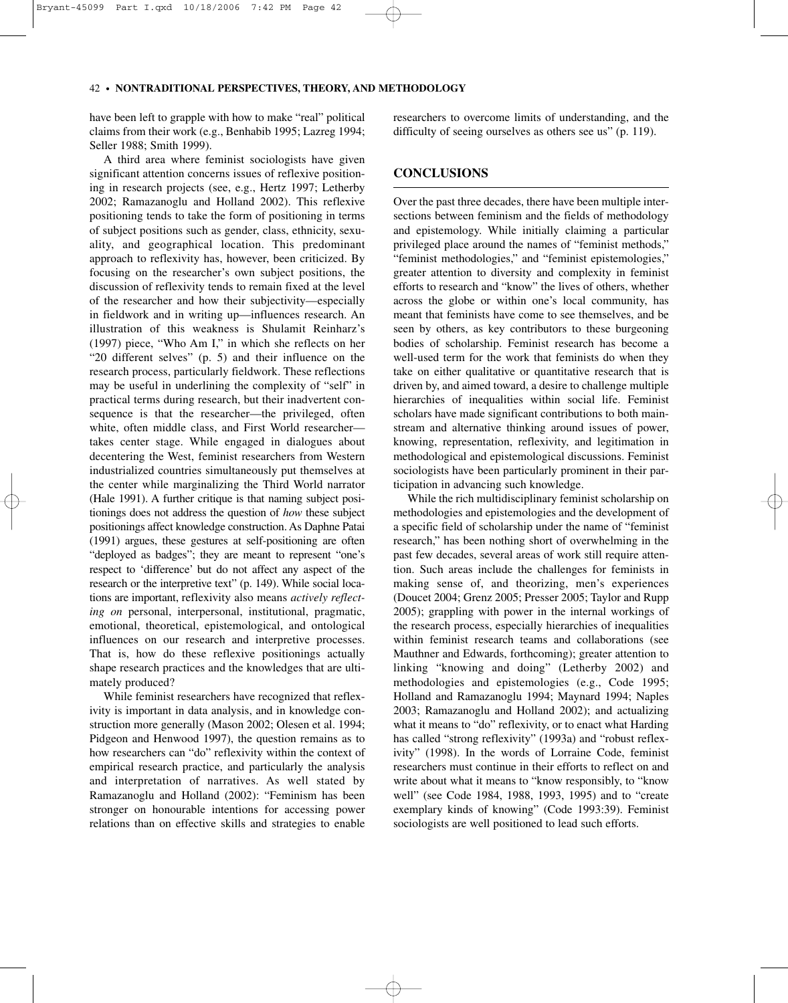#### 42–•–**NONTRADITIONAL PERSPECTIVES, THEORY, AND METHODOLOGY**

have been left to grapple with how to make "real" political claims from their work (e.g., Benhabib 1995; Lazreg 1994; Seller 1988; Smith 1999).

A third area where feminist sociologists have given significant attention concerns issues of reflexive positioning in research projects (see, e.g., Hertz 1997; Letherby 2002; Ramazanoglu and Holland 2002). This reflexive positioning tends to take the form of positioning in terms of subject positions such as gender, class, ethnicity, sexuality, and geographical location. This predominant approach to reflexivity has, however, been criticized. By focusing on the researcher's own subject positions, the discussion of reflexivity tends to remain fixed at the level of the researcher and how their subjectivity—especially in fieldwork and in writing up—influences research. An illustration of this weakness is Shulamit Reinharz's (1997) piece, "Who Am I," in which she reflects on her "20 different selves" (p. 5) and their influence on the research process, particularly fieldwork. These reflections may be useful in underlining the complexity of "self" in practical terms during research, but their inadvertent consequence is that the researcher—the privileged, often white, often middle class, and First World researcher takes center stage. While engaged in dialogues about decentering the West, feminist researchers from Western industrialized countries simultaneously put themselves at the center while marginalizing the Third World narrator (Hale 1991). A further critique is that naming subject positionings does not address the question of *how* these subject positionings affect knowledge construction. As Daphne Patai (1991) argues, these gestures at self-positioning are often "deployed as badges"; they are meant to represent "one's respect to 'difference' but do not affect any aspect of the research or the interpretive text" (p. 149). While social locations are important, reflexivity also means *actively reflecting on* personal, interpersonal, institutional, pragmatic, emotional, theoretical, epistemological, and ontological influences on our research and interpretive processes. That is, how do these reflexive positionings actually shape research practices and the knowledges that are ultimately produced?

While feminist researchers have recognized that reflexivity is important in data analysis, and in knowledge construction more generally (Mason 2002; Olesen et al. 1994; Pidgeon and Henwood 1997), the question remains as to how researchers can "do" reflexivity within the context of empirical research practice, and particularly the analysis and interpretation of narratives. As well stated by Ramazanoglu and Holland (2002): "Feminism has been stronger on honourable intentions for accessing power relations than on effective skills and strategies to enable

researchers to overcome limits of understanding, and the difficulty of seeing ourselves as others see us" (p. 119).

#### **CONCLUSIONS**

Over the past three decades, there have been multiple intersections between feminism and the fields of methodology and epistemology. While initially claiming a particular privileged place around the names of "feminist methods," "feminist methodologies," and "feminist epistemologies," greater attention to diversity and complexity in feminist efforts to research and "know" the lives of others, whether across the globe or within one's local community, has meant that feminists have come to see themselves, and be seen by others, as key contributors to these burgeoning bodies of scholarship. Feminist research has become a well-used term for the work that feminists do when they take on either qualitative or quantitative research that is driven by, and aimed toward, a desire to challenge multiple hierarchies of inequalities within social life. Feminist scholars have made significant contributions to both mainstream and alternative thinking around issues of power, knowing, representation, reflexivity, and legitimation in methodological and epistemological discussions. Feminist sociologists have been particularly prominent in their participation in advancing such knowledge.

While the rich multidisciplinary feminist scholarship on methodologies and epistemologies and the development of a specific field of scholarship under the name of "feminist research," has been nothing short of overwhelming in the past few decades, several areas of work still require attention. Such areas include the challenges for feminists in making sense of, and theorizing, men's experiences (Doucet 2004; Grenz 2005; Presser 2005; Taylor and Rupp 2005); grappling with power in the internal workings of the research process, especially hierarchies of inequalities within feminist research teams and collaborations (see Mauthner and Edwards, forthcoming); greater attention to linking "knowing and doing" (Letherby 2002) and methodologies and epistemologies (e.g., Code 1995; Holland and Ramazanoglu 1994; Maynard 1994; Naples 2003; Ramazanoglu and Holland 2002); and actualizing what it means to "do" reflexivity, or to enact what Harding has called "strong reflexivity" (1993a) and "robust reflexivity" (1998). In the words of Lorraine Code, feminist researchers must continue in their efforts to reflect on and write about what it means to "know responsibly, to "know well" (see Code 1984, 1988, 1993, 1995) and to "create exemplary kinds of knowing" (Code 1993:39). Feminist sociologists are well positioned to lead such efforts.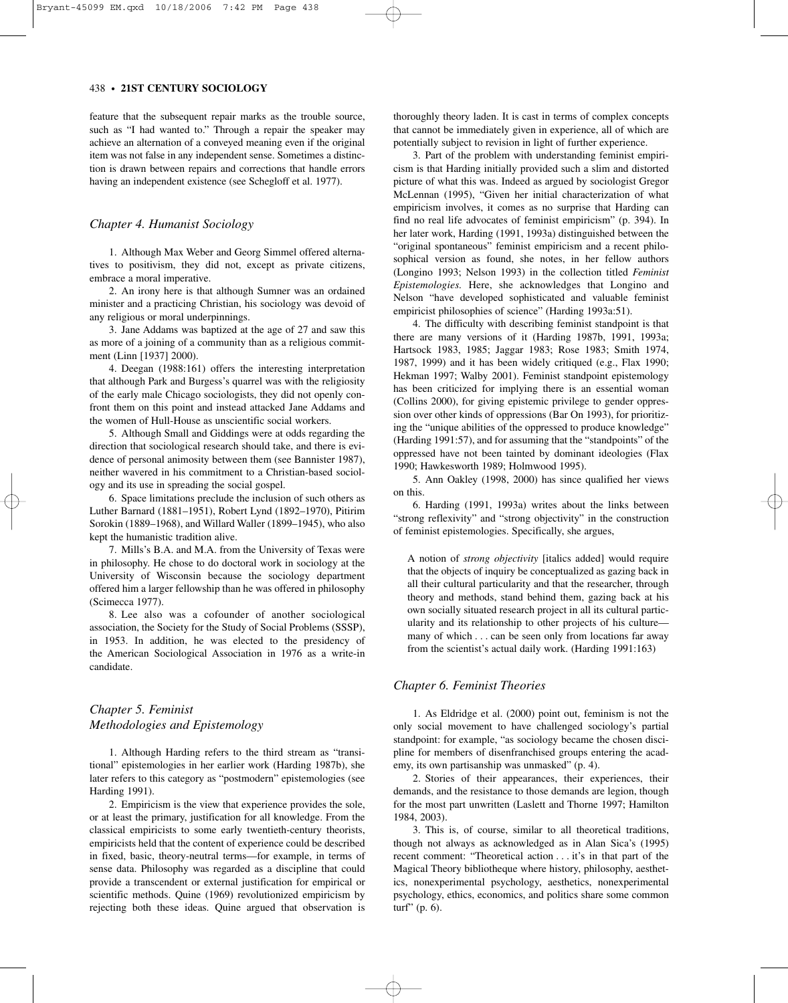feature that the subsequent repair marks as the trouble source, such as "I had wanted to." Through a repair the speaker may achieve an alternation of a conveyed meaning even if the original item was not false in any independent sense. Sometimes a distinction is drawn between repairs and corrections that handle errors having an independent existence (see Schegloff et al. 1977).

#### *Chapter 4. Humanist Sociology*

1. Although Max Weber and Georg Simmel offered alternatives to positivism, they did not, except as private citizens, embrace a moral imperative.

2. An irony here is that although Sumner was an ordained minister and a practicing Christian, his sociology was devoid of any religious or moral underpinnings.

3. Jane Addams was baptized at the age of 27 and saw this as more of a joining of a community than as a religious commitment (Linn [1937] 2000).

4. Deegan (1988:161) offers the interesting interpretation that although Park and Burgess's quarrel was with the religiosity of the early male Chicago sociologists, they did not openly confront them on this point and instead attacked Jane Addams and the women of Hull-House as unscientific social workers.

5. Although Small and Giddings were at odds regarding the direction that sociological research should take, and there is evidence of personal animosity between them (see Bannister 1987), neither wavered in his commitment to a Christian-based sociology and its use in spreading the social gospel.

6. Space limitations preclude the inclusion of such others as Luther Barnard (1881–1951), Robert Lynd (1892–1970), Pitirim Sorokin (1889–1968), and Willard Waller (1899–1945), who also kept the humanistic tradition alive.

7. Mills's B.A. and M.A. from the University of Texas were in philosophy. He chose to do doctoral work in sociology at the University of Wisconsin because the sociology department offered him a larger fellowship than he was offered in philosophy (Scimecca 1977).

8. Lee also was a cofounder of another sociological association, the Society for the Study of Social Problems (SSSP), in 1953. In addition, he was elected to the presidency of the American Sociological Association in 1976 as a write-in candidate.

# *Chapter 5. Feminist Methodologies and Epistemology*

1. Although Harding refers to the third stream as "transitional" epistemologies in her earlier work (Harding 1987b), she later refers to this category as "postmodern" epistemologies (see Harding 1991).

2. Empiricism is the view that experience provides the sole, or at least the primary, justification for all knowledge. From the classical empiricists to some early twentieth-century theorists, empiricists held that the content of experience could be described in fixed, basic, theory-neutral terms—for example, in terms of sense data. Philosophy was regarded as a discipline that could provide a transcendent or external justification for empirical or scientific methods. Quine (1969) revolutionized empiricism by rejecting both these ideas. Quine argued that observation is

thoroughly theory laden. It is cast in terms of complex concepts that cannot be immediately given in experience, all of which are potentially subject to revision in light of further experience.

3. Part of the problem with understanding feminist empiricism is that Harding initially provided such a slim and distorted picture of what this was. Indeed as argued by sociologist Gregor McLennan (1995), "Given her initial characterization of what empiricism involves, it comes as no surprise that Harding can find no real life advocates of feminist empiricism" (p. 394). In her later work, Harding (1991, 1993a) distinguished between the "original spontaneous" feminist empiricism and a recent philosophical version as found, she notes, in her fellow authors (Longino 1993; Nelson 1993) in the collection titled *Feminist Epistemologies.* Here, she acknowledges that Longino and Nelson "have developed sophisticated and valuable feminist empiricist philosophies of science" (Harding 1993a:51).

4. The difficulty with describing feminist standpoint is that there are many versions of it (Harding 1987b, 1991, 1993a; Hartsock 1983, 1985; Jaggar 1983; Rose 1983; Smith 1974, 1987, 1999) and it has been widely critiqued (e.g., Flax 1990; Hekman 1997; Walby 2001). Feminist standpoint epistemology has been criticized for implying there is an essential woman (Collins 2000), for giving epistemic privilege to gender oppression over other kinds of oppressions (Bar On 1993), for prioritizing the "unique abilities of the oppressed to produce knowledge" (Harding 1991:57), and for assuming that the "standpoints" of the oppressed have not been tainted by dominant ideologies (Flax 1990; Hawkesworth 1989; Holmwood 1995).

5. Ann Oakley (1998, 2000) has since qualified her views on this.

6. Harding (1991, 1993a) writes about the links between "strong reflexivity" and "strong objectivity" in the construction of feminist epistemologies. Specifically, she argues,

A notion of *strong objectivity* [italics added] would require that the objects of inquiry be conceptualized as gazing back in all their cultural particularity and that the researcher, through theory and methods, stand behind them, gazing back at his own socially situated research project in all its cultural particularity and its relationship to other projects of his culture many of which . . . can be seen only from locations far away from the scientist's actual daily work. (Harding 1991:163)

#### *Chapter 6. Feminist Theories*

1. As Eldridge et al. (2000) point out, feminism is not the only social movement to have challenged sociology's partial standpoint: for example, "as sociology became the chosen discipline for members of disenfranchised groups entering the academy, its own partisanship was unmasked" (p. 4).

2. Stories of their appearances, their experiences, their demands, and the resistance to those demands are legion, though for the most part unwritten (Laslett and Thorne 1997; Hamilton 1984, 2003).

3. This is, of course, similar to all theoretical traditions, though not always as acknowledged as in Alan Sica's (1995) recent comment: "Theoretical action . . . it's in that part of the Magical Theory bibliotheque where history, philosophy, aesthetics, nonexperimental psychology, aesthetics, nonexperimental psychology, ethics, economics, and politics share some common turf" (p. 6).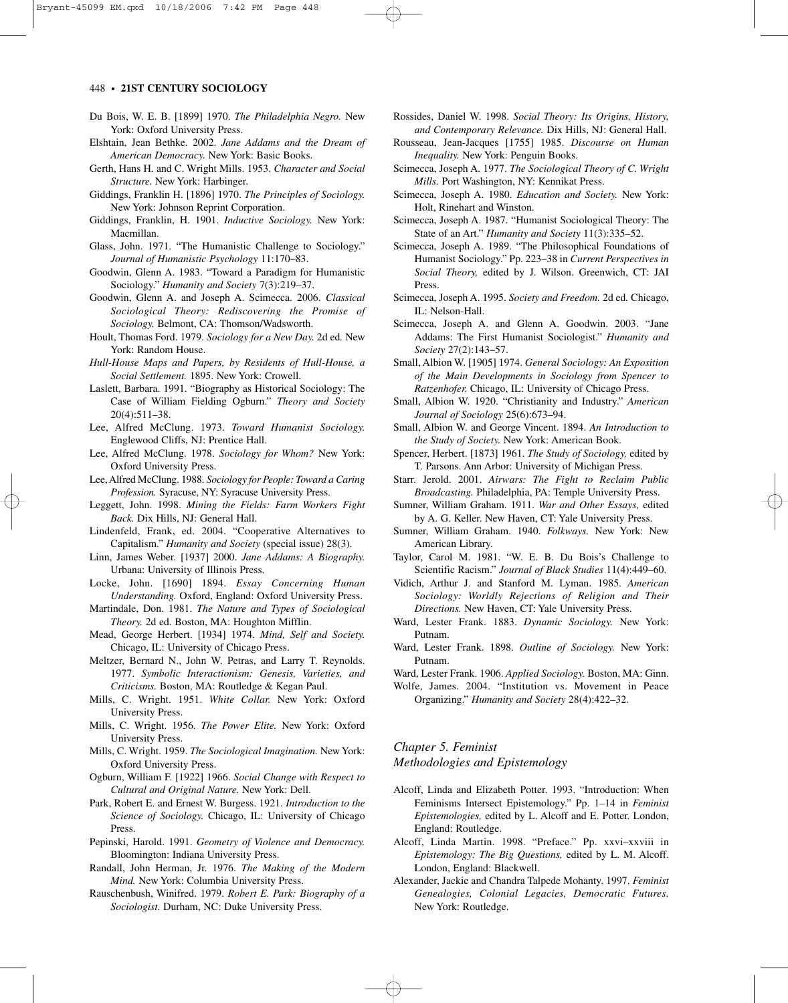- Du Bois, W. E. B. [1899] 1970. *The Philadelphia Negro.* New York: Oxford University Press.
- Elshtain, Jean Bethke. 2002. *Jane Addams and the Dream of American Democracy.* New York: Basic Books.
- Gerth, Hans H. and C. Wright Mills. 1953. *Character and Social Structure.* New York: Harbinger.
- Giddings, Franklin H. [1896] 1970. *The Principles of Sociology.* New York: Johnson Reprint Corporation.
- Giddings, Franklin, H. 1901. *Inductive Sociology.* New York: Macmillan.
- Glass, John. 1971. "The Humanistic Challenge to Sociology." *Journal of Humanistic Psychology* 11:170–83.
- Goodwin, Glenn A. 1983. "Toward a Paradigm for Humanistic Sociology." *Humanity and Society* 7(3):219–37.
- Goodwin, Glenn A. and Joseph A. Scimecca. 2006. *Classical Sociological Theory: Rediscovering the Promise of Sociology.* Belmont, CA: Thomson/Wadsworth.
- Hoult, Thomas Ford. 1979. *Sociology for a New Day.* 2d ed*.* New York: Random House.
- *Hull-House Maps and Papers, by Residents of Hull-House, a Social Settlement.* 1895. New York: Crowell.
- Laslett, Barbara. 1991. "Biography as Historical Sociology: The Case of William Fielding Ogburn." *Theory and Society* 20(4):511–38.
- Lee, Alfred McClung. 1973. *Toward Humanist Sociology.* Englewood Cliffs, NJ: Prentice Hall.
- Lee, Alfred McClung. 1978. *Sociology for Whom?* New York: Oxford University Press.
- Lee, Alfred McClung. 1988. *Sociology for People: Toward a Caring Profession.* Syracuse, NY: Syracuse University Press.
- Leggett, John. 1998. *Mining the Fields: Farm Workers Fight Back.* Dix Hills, NJ: General Hall.
- Lindenfeld, Frank, ed. 2004. "Cooperative Alternatives to Capitalism." *Humanity and Society* (special issue) 28(3).
- Linn, James Weber. [1937] 2000. *Jane Addams: A Biography.* Urbana: University of Illinois Press.
- Locke, John. [1690] 1894. *Essay Concerning Human Understanding.* Oxford, England: Oxford University Press.
- Martindale, Don. 1981. *The Nature and Types of Sociological Theory.* 2d ed. Boston, MA: Houghton Mifflin.
- Mead, George Herbert. [1934] 1974. *Mind, Self and Society.* Chicago, IL: University of Chicago Press.
- Meltzer, Bernard N., John W. Petras, and Larry T. Reynolds. 1977. *Symbolic Interactionism: Genesis, Varieties, and Criticisms.* Boston, MA: Routledge & Kegan Paul.
- Mills, C. Wright. 1951. *White Collar.* New York: Oxford University Press.
- Mills, C. Wright. 1956. *The Power Elite.* New York: Oxford University Press.
- Mills, C. Wright. 1959. *The Sociological Imagination.* New York: Oxford University Press.
- Ogburn, William F. [1922] 1966. *Social Change with Respect to Cultural and Original Nature.* New York: Dell.
- Park, Robert E. and Ernest W. Burgess. 1921. *Introduction to the Science of Sociology.* Chicago, IL: University of Chicago Press.
- Pepinski, Harold. 1991. *Geometry of Violence and Democracy.* Bloomington: Indiana University Press.
- Randall, John Herman, Jr. 1976. *The Making of the Modern Mind.* New York: Columbia University Press.
- Rauschenbush, Winifred. 1979. *Robert E. Park: Biography of a Sociologist.* Durham, NC: Duke University Press.
- Rossides, Daniel W. 1998. *Social Theory: Its Origins, History, and Contemporary Relevance.* Dix Hills, NJ: General Hall.
- Rousseau, Jean-Jacques [1755] 1985. *Discourse on Human Inequality.* New York: Penguin Books.
- Scimecca, Joseph A. 1977. *The Sociological Theory of C. Wright Mills.* Port Washington, NY: Kennikat Press.
- Scimecca, Joseph A. 1980. *Education and Society.* New York: Holt, Rinehart and Winston.
- Scimecca, Joseph A. 1987. "Humanist Sociological Theory: The State of an Art." *Humanity and Society* 11(3):335–52.
- Scimecca, Joseph A. 1989. "The Philosophical Foundations of Humanist Sociology." Pp. 223–38 in *Current Perspectives in Social Theory,* edited by J. Wilson. Greenwich, CT: JAI Press.
- Scimecca, Joseph A. 1995. *Society and Freedom.* 2d ed*.* Chicago, IL: Nelson-Hall.
- Scimecca, Joseph A. and Glenn A. Goodwin. 2003. "Jane Addams: The First Humanist Sociologist." *Humanity and Society* 27(2):143–57.
- Small, Albion W. [1905] 1974. *General Sociology: An Exposition of the Main Developments in Sociology from Spencer to Ratzenhofer.* Chicago, IL: University of Chicago Press.
- Small, Albion W. 1920. "Christianity and Industry." *American Journal of Sociology* 25(6):673–94.
- Small, Albion W. and George Vincent. 1894. *An Introduction to the Study of Society.* New York: American Book.
- Spencer, Herbert. [1873] 1961. *The Study of Sociology,* edited by T. Parsons. Ann Arbor: University of Michigan Press.
- Starr. Jerold. 2001. *Airwars: The Fight to Reclaim Public Broadcasting.* Philadelphia, PA: Temple University Press.
- Sumner, William Graham. 1911. *War and Other Essays,* edited by A. G. Keller. New Haven, CT: Yale University Press.
- Sumner, William Graham. 1940. *Folkways.* New York: New American Library.
- Taylor, Carol M. 1981. "W. E. B. Du Bois's Challenge to Scientific Racism." *Journal of Black Studies* 11(4):449–60.
- Vidich, Arthur J. and Stanford M. Lyman. 1985. *American Sociology: Worldly Rejections of Religion and Their Directions.* New Haven, CT: Yale University Press.
- Ward, Lester Frank. 1883. *Dynamic Sociology.* New York: Putnam.
- Ward, Lester Frank. 1898. *Outline of Sociology.* New York: Putnam.
- Ward, Lester Frank. 1906. *Applied Sociology.* Boston, MA: Ginn.
- Wolfe, James. 2004. "Institution vs. Movement in Peace Organizing." *Humanity and Society* 28(4):422–32.

*Chapter 5. Feminist Methodologies and Epistemology*

- Alcoff, Linda and Elizabeth Potter. 1993. "Introduction: When Feminisms Intersect Epistemology." Pp. 1–14 in *Feminist Epistemologies,* edited by L. Alcoff and E. Potter. London, England: Routledge.
- Alcoff, Linda Martin. 1998. "Preface." Pp. xxvi–xxviii in *Epistemology: The Big Questions,* edited by L. M. Alcoff. London, England: Blackwell.
- Alexander, Jackie and Chandra Talpede Mohanty. 1997. *Feminist Genealogies, Colonial Legacies, Democratic Futures.* New York: Routledge.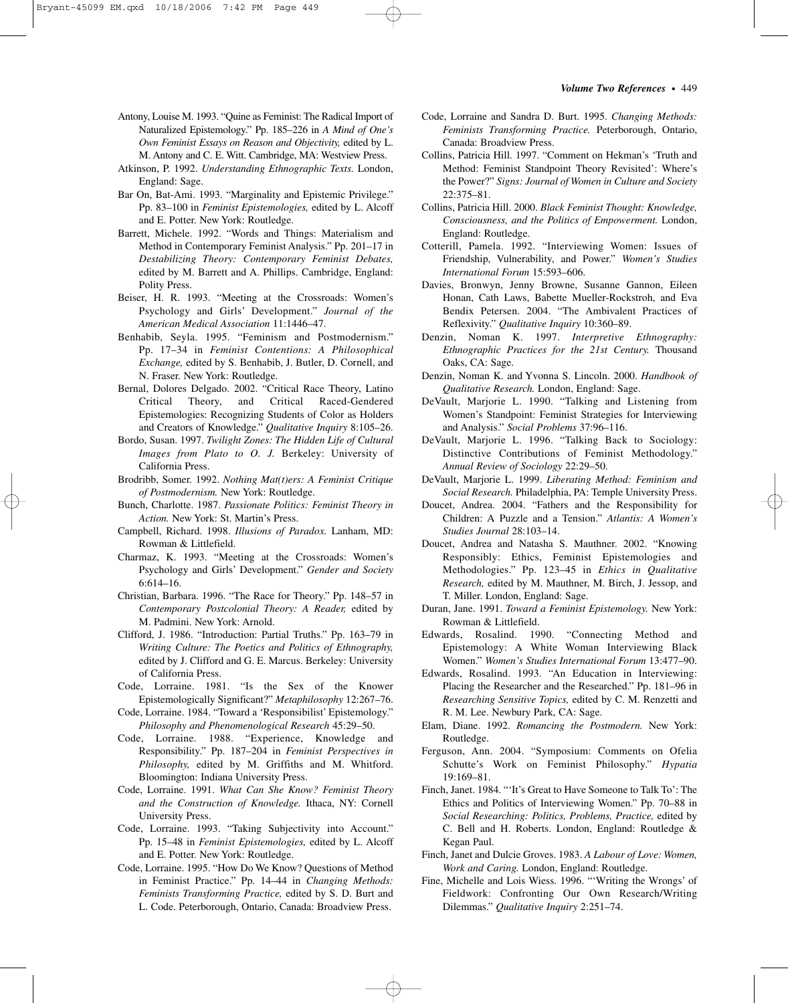#### *Volume Two References*–•–449

- Antony, Louise M. 1993. "Quine as Feminist: The Radical Import of Naturalized Epistemology." Pp. 185–226 in *A Mind of One's Own Feminist Essays on Reason and Objectivity,* edited by L. M. Antony and C. E. Witt. Cambridge, MA: Westview Press.
- Atkinson, P. 1992. *Understanding Ethnographic Texts.* London, England: Sage.
- Bar On, Bat-Ami. 1993. "Marginality and Epistemic Privilege." Pp. 83–100 in *Feminist Epistemologies,* edited by L. Alcoff and E. Potter. New York: Routledge.
- Barrett, Michele. 1992. "Words and Things: Materialism and Method in Contemporary Feminist Analysis." Pp. 201–17 in *Destabilizing Theory: Contemporary Feminist Debates,* edited by M. Barrett and A. Phillips. Cambridge, England: Polity Press.
- Beiser, H. R. 1993. "Meeting at the Crossroads: Women's Psychology and Girls' Development." *Journal of the American Medical Association* 11:1446–47.
- Benhabib, Seyla. 1995. "Feminism and Postmodernism." Pp. 17–34 in *Feminist Contentions: A Philosophical Exchange,* edited by S. Benhabib, J. Butler, D. Cornell, and N. Fraser. New York: Routledge.
- Bernal, Dolores Delgado. 2002. "Critical Race Theory, Latino Critical Theory, and Critical Raced-Gendered Epistemologies: Recognizing Students of Color as Holders and Creators of Knowledge." *Qualitative Inquiry* 8:105–26.
- Bordo, Susan. 1997. *Twilight Zones: The Hidden Life of Cultural Images from Plato to O. J.* Berkeley: University of California Press.
- Brodribb, Somer. 1992. *Nothing Mat(t)ers: A Feminist Critique of Postmodernism.* New York: Routledge.
- Bunch, Charlotte. 1987. *Passionate Politics: Feminist Theory in Action.* New York: St. Martin's Press.
- Campbell, Richard. 1998. *Illusions of Paradox.* Lanham, MD: Rowman & Littlefield.
- Charmaz, K. 1993. "Meeting at the Crossroads: Women's Psychology and Girls' Development." *Gender and Society* 6:614–16.
- Christian, Barbara. 1996. "The Race for Theory." Pp. 148–57 in *Contemporary Postcolonial Theory: A Reader,* edited by M. Padmini. New York: Arnold.
- Clifford, J. 1986. "Introduction: Partial Truths." Pp. 163–79 in *Writing Culture: The Poetics and Politics of Ethnography,* edited by J. Clifford and G. E. Marcus. Berkeley: University of California Press.
- Code, Lorraine. 1981. "Is the Sex of the Knower Epistemologically Significant?" *Metaphilosophy* 12:267–76.
- Code, Lorraine. 1984. "Toward a 'Responsibilist' Epistemology." *Philosophy and Phenomenological Research* 45:29–50.
- Code, Lorraine. 1988. "Experience, Knowledge and Responsibility." Pp. 187–204 in *Feminist Perspectives in Philosophy,* edited by M. Griffiths and M. Whitford. Bloomington: Indiana University Press.
- Code, Lorraine. 1991. *What Can She Know? Feminist Theory and the Construction of Knowledge.* Ithaca, NY: Cornell University Press.
- Code, Lorraine. 1993. "Taking Subjectivity into Account." Pp. 15–48 in *Feminist Epistemologies,* edited by L. Alcoff and E. Potter. New York: Routledge.
- Code, Lorraine. 1995. "How Do We Know? Questions of Method in Feminist Practice." Pp. 14–44 in *Changing Methods: Feminists Transforming Practice,* edited by S. D. Burt and L. Code. Peterborough, Ontario, Canada: Broadview Press.
- Code, Lorraine and Sandra D. Burt. 1995. *Changing Methods: Feminists Transforming Practice.* Peterborough, Ontario, Canada: Broadview Press.
- Collins, Patricia Hill. 1997. "Comment on Hekman's 'Truth and Method: Feminist Standpoint Theory Revisited': Where's the Power?" *Signs: Journal of Women in Culture and Society* 22:375–81.
- Collins, Patricia Hill. 2000. *Black Feminist Thought: Knowledge, Consciousness, and the Politics of Empowerment.* London, England: Routledge.
- Cotterill, Pamela. 1992. "Interviewing Women: Issues of Friendship, Vulnerability, and Power." *Women's Studies International Forum* 15:593–606.
- Davies, Bronwyn, Jenny Browne, Susanne Gannon, Eileen Honan, Cath Laws, Babette Mueller-Rockstroh, and Eva Bendix Petersen. 2004. "The Ambivalent Practices of Reflexivity." *Qualitative Inquiry* 10:360–89.
- Denzin, Noman K. 1997. *Interpretive Ethnography: Ethnographic Practices for the 21st Century.* Thousand Oaks, CA: Sage.
- Denzin, Noman K. and Yvonna S. Lincoln. 2000. *Handbook of Qualitative Research.* London, England: Sage.
- DeVault, Marjorie L. 1990. "Talking and Listening from Women's Standpoint: Feminist Strategies for Interviewing and Analysis." *Social Problems* 37:96–116.
- DeVault, Marjorie L. 1996. "Talking Back to Sociology: Distinctive Contributions of Feminist Methodology.' *Annual Review of Sociology* 22:29–50.
- DeVault, Marjorie L. 1999. *Liberating Method: Feminism and Social Research.* Philadelphia, PA: Temple University Press.
- Doucet, Andrea. 2004. "Fathers and the Responsibility for Children: A Puzzle and a Tension." *Atlantis: A Women's Studies Journal* 28:103–14.
- Doucet, Andrea and Natasha S. Mauthner. 2002. "Knowing Responsibly: Ethics, Feminist Epistemologies and Methodologies." Pp. 123–45 in *Ethics in Qualitative Research,* edited by M. Mauthner, M. Birch, J. Jessop, and T. Miller. London, England: Sage.
- Duran, Jane. 1991. *Toward a Feminist Epistemology.* New York: Rowman & Littlefield.
- Edwards, Rosalind. 1990. "Connecting Method and Epistemology: A White Woman Interviewing Black Women." *Women's Studies International Forum* 13:477–90.
- Edwards, Rosalind. 1993. "An Education in Interviewing: Placing the Researcher and the Researched." Pp. 181–96 in *Researching Sensitive Topics,* edited by C. M. Renzetti and R. M. Lee. Newbury Park, CA: Sage.
- Elam, Diane. 1992. *Romancing the Postmodern.* New York: Routledge.
- Ferguson, Ann. 2004. "Symposium: Comments on Ofelia Schutte's Work on Feminist Philosophy." *Hypatia* 19:169–81.
- Finch, Janet. 1984. "'It's Great to Have Someone to Talk To': The Ethics and Politics of Interviewing Women." Pp. 70–88 in *Social Researching: Politics, Problems, Practice,* edited by C. Bell and H. Roberts. London, England: Routledge & Kegan Paul.
- Finch, Janet and Dulcie Groves. 1983. *A Labour of Love: Women, Work and Caring.* London, England: Routledge.
- Fine, Michelle and Lois Wiess. 1996. "'Writing the Wrongs' of Fieldwork: Confronting Our Own Research/Writing Dilemmas." *Qualitative Inquiry* 2:251–74.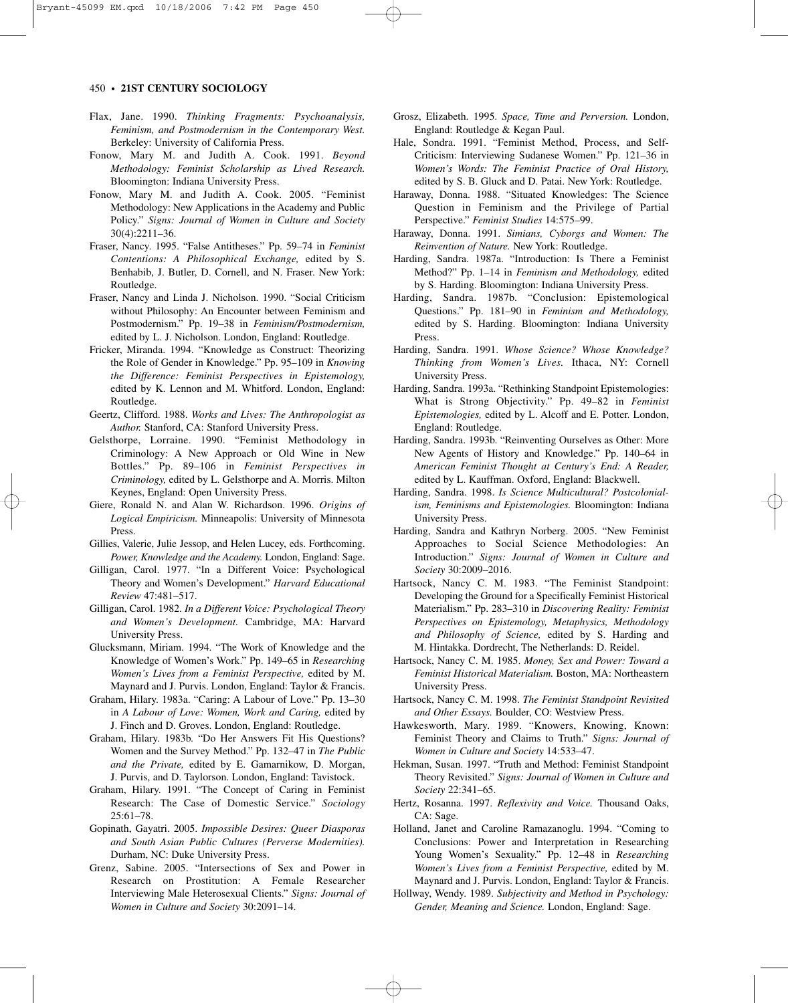- Flax, Jane. 1990. *Thinking Fragments: Psychoanalysis, Feminism, and Postmodernism in the Contemporary West.* Berkeley: University of California Press.
- Fonow, Mary M. and Judith A. Cook. 1991. *Beyond Methodology: Feminist Scholarship as Lived Research.* Bloomington: Indiana University Press.
- Fonow, Mary M. and Judith A. Cook. 2005. "Feminist Methodology: New Applications in the Academy and Public Policy." *Signs: Journal of Women in Culture and Society* 30(4):2211–36.
- Fraser, Nancy. 1995. "False Antitheses." Pp. 59–74 in *Feminist Contentions: A Philosophical Exchange,* edited by S. Benhabib, J. Butler, D. Cornell, and N. Fraser. New York: Routledge.
- Fraser, Nancy and Linda J. Nicholson. 1990. "Social Criticism without Philosophy: An Encounter between Feminism and Postmodernism." Pp. 19–38 in *Feminism/Postmodernism,* edited by L. J. Nicholson. London, England: Routledge.
- Fricker, Miranda. 1994. "Knowledge as Construct: Theorizing the Role of Gender in Knowledge." Pp. 95–109 in *Knowing the Difference: Feminist Perspectives in Epistemology,* edited by K. Lennon and M. Whitford. London, England: Routledge.
- Geertz, Clifford. 1988. *Works and Lives: The Anthropologist as Author.* Stanford, CA: Stanford University Press.
- Gelsthorpe, Lorraine. 1990. "Feminist Methodology in Criminology: A New Approach or Old Wine in New Bottles." Pp. 89–106 in *Feminist Perspectives in Criminology,* edited by L. Gelsthorpe and A. Morris. Milton Keynes, England: Open University Press.
- Giere, Ronald N. and Alan W. Richardson. 1996. *Origins of Logical Empiricism.* Minneapolis: University of Minnesota Press.
- Gillies, Valerie, Julie Jessop, and Helen Lucey, eds. Forthcoming. *Power, Knowledge and the Academy.* London, England: Sage.
- Gilligan, Carol. 1977. "In a Different Voice: Psychological Theory and Women's Development." *Harvard Educational Review* 47:481–517.
- Gilligan, Carol. 1982. *In a Different Voice: Psychological Theory and Women's Development.* Cambridge, MA: Harvard University Press.
- Glucksmann, Miriam. 1994. "The Work of Knowledge and the Knowledge of Women's Work." Pp. 149–65 in *Researching Women's Lives from a Feminist Perspective,* edited by M. Maynard and J. Purvis. London, England: Taylor & Francis.
- Graham, Hilary. 1983a. "Caring: A Labour of Love." Pp. 13–30 in *A Labour of Love: Women, Work and Caring,* edited by J. Finch and D. Groves. London, England: Routledge.
- Graham, Hilary. 1983b. "Do Her Answers Fit His Questions? Women and the Survey Method." Pp. 132–47 in *The Public and the Private,* edited by E. Gamarnikow, D. Morgan, J. Purvis, and D. Taylorson. London, England: Tavistock.
- Graham, Hilary. 1991. "The Concept of Caring in Feminist Research: The Case of Domestic Service." *Sociology* 25:61–78.
- Gopinath, Gayatri. 2005. *Impossible Desires: Queer Diasporas and South Asian Public Cultures (Perverse Modernities).* Durham, NC: Duke University Press.
- Grenz, Sabine. 2005. "Intersections of Sex and Power in Research on Prostitution: A Female Researcher Interviewing Male Heterosexual Clients." *Signs: Journal of Women in Culture and Society* 30:2091–14.
- Grosz, Elizabeth. 1995. *Space, Time and Perversion.* London, England: Routledge & Kegan Paul.
- Hale, Sondra. 1991. "Feminist Method, Process, and Self-Criticism: Interviewing Sudanese Women." Pp. 121–36 in *Women's Words: The Feminist Practice of Oral History,* edited by S. B. Gluck and D. Patai. New York: Routledge.
- Haraway, Donna. 1988. "Situated Knowledges: The Science Question in Feminism and the Privilege of Partial Perspective." *Feminist Studies* 14:575–99.
- Haraway, Donna. 1991. *Simians, Cyborgs and Women: The Reinvention of Nature.* New York: Routledge.
- Harding, Sandra. 1987a. "Introduction: Is There a Feminist Method?" Pp. 1–14 in *Feminism and Methodology,* edited by S. Harding. Bloomington: Indiana University Press.
- Harding, Sandra. 1987b. "Conclusion: Epistemological Questions." Pp. 181–90 in *Feminism and Methodology,* edited by S. Harding. Bloomington: Indiana University Press.
- Harding, Sandra. 1991. *Whose Science? Whose Knowledge? Thinking from Women's Lives.* Ithaca, NY: Cornell University Press.
- Harding, Sandra. 1993a. "Rethinking Standpoint Epistemologies: What is Strong Objectivity." Pp. 49–82 in *Feminist Epistemologies,* edited by L. Alcoff and E. Potter. London, England: Routledge.
- Harding, Sandra. 1993b. "Reinventing Ourselves as Other: More New Agents of History and Knowledge." Pp. 140–64 in *American Feminist Thought at Century's End: A Reader,* edited by L. Kauffman. Oxford, England: Blackwell.
- Harding, Sandra. 1998. *Is Science Multicultural? Postcolonialism, Feminisms and Epistemologies.* Bloomington: Indiana University Press.
- Harding, Sandra and Kathryn Norberg. 2005. "New Feminist Approaches to Social Science Methodologies: An Introduction." *Signs: Journal of Women in Culture and Society* 30:2009–2016.
- Hartsock, Nancy C. M. 1983. "The Feminist Standpoint: Developing the Ground for a Specifically Feminist Historical Materialism." Pp. 283–310 in *Discovering Reality: Feminist Perspectives on Epistemology, Metaphysics, Methodology and Philosophy of Science,* edited by S. Harding and M. Hintakka. Dordrecht, The Netherlands: D. Reidel.
- Hartsock, Nancy C. M. 1985. *Money, Sex and Power: Toward a Feminist Historical Materialism.* Boston, MA: Northeastern University Press.
- Hartsock, Nancy C. M. 1998. *The Feminist Standpoint Revisited and Other Essays.* Boulder, CO: Westview Press.
- Hawkesworth, Mary. 1989. "Knowers, Knowing, Known: Feminist Theory and Claims to Truth." *Signs: Journal of Women in Culture and Society* 14:533–47.
- Hekman, Susan. 1997. "Truth and Method: Feminist Standpoint Theory Revisited." *Signs: Journal of Women in Culture and Society* 22:341–65.
- Hertz, Rosanna. 1997. *Reflexivity and Voice.* Thousand Oaks, CA: Sage.
- Holland, Janet and Caroline Ramazanoglu. 1994. "Coming to Conclusions: Power and Interpretation in Researching Young Women's Sexuality." Pp. 12–48 in *Researching Women's Lives from a Feminist Perspective,* edited by M. Maynard and J. Purvis. London, England: Taylor & Francis.
- Hollway, Wendy. 1989. *Subjectivity and Method in Psychology: Gender, Meaning and Science.* London, England: Sage.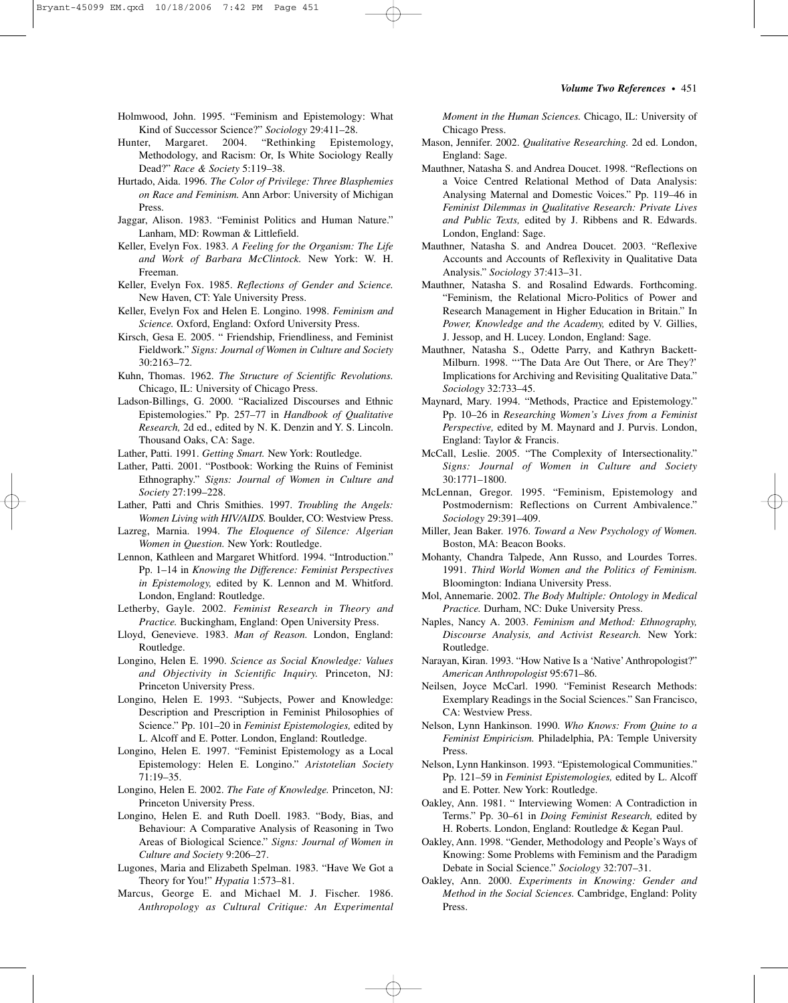#### *Volume Two References*–•–451

- Holmwood, John. 1995. "Feminism and Epistemology: What Kind of Successor Science?" *Sociology* 29:411–28.
- Hunter, Margaret. 2004. "Rethinking Epistemology, Methodology, and Racism: Or, Is White Sociology Really Dead?" *Race & Society* 5:119–38.
- Hurtado, Aida. 1996. *The Color of Privilege: Three Blasphemies on Race and Feminism.* Ann Arbor: University of Michigan Press.
- Jaggar, Alison. 1983. "Feminist Politics and Human Nature." Lanham, MD: Rowman & Littlefield.
- Keller, Evelyn Fox. 1983. *A Feeling for the Organism: The Life and Work of Barbara McClintock.* New York: W. H. Freeman.
- Keller, Evelyn Fox. 1985. *Reflections of Gender and Science.* New Haven, CT: Yale University Press.
- Keller, Evelyn Fox and Helen E. Longino. 1998. *Feminism and Science.* Oxford, England: Oxford University Press.
- Kirsch, Gesa E. 2005. " Friendship, Friendliness, and Feminist Fieldwork." *Signs: Journal of Women in Culture and Society* 30:2163–72.
- Kuhn, Thomas. 1962. *The Structure of Scientific Revolutions.* Chicago, IL: University of Chicago Press.
- Ladson-Billings, G. 2000. "Racialized Discourses and Ethnic Epistemologies." Pp. 257–77 in *Handbook of Qualitative Research,* 2d ed., edited by N. K. Denzin and Y. S. Lincoln. Thousand Oaks, CA: Sage.
- Lather, Patti. 1991. *Getting Smart.* New York: Routledge.
- Lather, Patti. 2001. "Postbook: Working the Ruins of Feminist Ethnography." *Signs: Journal of Women in Culture and Society* 27:199–228.
- Lather, Patti and Chris Smithies. 1997. *Troubling the Angels: Women Living with HIV/AIDS.* Boulder, CO: Westview Press.
- Lazreg, Marnia. 1994. *The Eloquence of Silence: Algerian Women in Question.* New York: Routledge.
- Lennon, Kathleen and Margaret Whitford. 1994. "Introduction." Pp. 1–14 in *Knowing the Difference: Feminist Perspectives in Epistemology,* edited by K. Lennon and M. Whitford. London, England: Routledge.
- Letherby, Gayle. 2002. *Feminist Research in Theory and Practice.* Buckingham, England: Open University Press.
- Lloyd, Genevieve. 1983. *Man of Reason.* London, England: Routledge.
- Longino, Helen E. 1990. *Science as Social Knowledge: Values and Objectivity in Scientific Inquiry.* Princeton, NJ: Princeton University Press.
- Longino, Helen E. 1993. "Subjects, Power and Knowledge: Description and Prescription in Feminist Philosophies of Science." Pp. 101–20 in *Feminist Epistemologies,* edited by L. Alcoff and E. Potter. London, England: Routledge.
- Longino, Helen E. 1997. "Feminist Epistemology as a Local Epistemology: Helen E. Longino." *Aristotelian Society* 71:19–35.
- Longino, Helen E. 2002. *The Fate of Knowledge.* Princeton, NJ: Princeton University Press.
- Longino, Helen E. and Ruth Doell. 1983. "Body, Bias, and Behaviour: A Comparative Analysis of Reasoning in Two Areas of Biological Science." *Signs: Journal of Women in Culture and Society* 9:206–27.
- Lugones, Maria and Elizabeth Spelman. 1983. "Have We Got a Theory for You!" *Hypatia* 1:573–81.
- Marcus, George E. and Michael M. J. Fischer. 1986. *Anthropology as Cultural Critique: An Experimental*

*Moment in the Human Sciences.* Chicago, IL: University of Chicago Press.

- Mason, Jennifer. 2002. *Qualitative Researching.* 2d ed. London, England: Sage.
- Mauthner, Natasha S. and Andrea Doucet. 1998. "Reflections on a Voice Centred Relational Method of Data Analysis: Analysing Maternal and Domestic Voices." Pp. 119–46 in *Feminist Dilemmas in Qualitative Research: Private Lives and Public Texts,* edited by J. Ribbens and R. Edwards. London, England: Sage.
- Mauthner, Natasha S. and Andrea Doucet. 2003. "Reflexive Accounts and Accounts of Reflexivity in Qualitative Data Analysis." *Sociology* 37:413–31.
- Mauthner, Natasha S. and Rosalind Edwards. Forthcoming. "Feminism, the Relational Micro-Politics of Power and Research Management in Higher Education in Britain." In *Power, Knowledge and the Academy,* edited by V. Gillies, J. Jessop, and H. Lucey. London, England: Sage.
- Mauthner, Natasha S., Odette Parry, and Kathryn Backett-Milburn. 1998. "'The Data Are Out There, or Are They?' Implications for Archiving and Revisiting Qualitative Data." *Sociology* 32:733–45.
- Maynard, Mary. 1994. "Methods, Practice and Epistemology." Pp. 10–26 in *Researching Women's Lives from a Feminist Perspective,* edited by M. Maynard and J. Purvis. London, England: Taylor & Francis.
- McCall, Leslie. 2005. "The Complexity of Intersectionality." *Signs: Journal of Women in Culture and Society* 30:1771–1800.
- McLennan, Gregor. 1995. "Feminism, Epistemology and Postmodernism: Reflections on Current Ambivalence." *Sociology* 29:391–409.
- Miller, Jean Baker. 1976. *Toward a New Psychology of Women.* Boston, MA: Beacon Books.
- Mohanty, Chandra Talpede, Ann Russo, and Lourdes Torres. 1991. *Third World Women and the Politics of Feminism.* Bloomington: Indiana University Press.
- Mol, Annemarie. 2002. *The Body Multiple: Ontology in Medical Practice.* Durham, NC: Duke University Press.
- Naples, Nancy A. 2003. *Feminism and Method: Ethnography, Discourse Analysis, and Activist Research.* New York: Routledge.
- Narayan, Kiran. 1993. "How Native Is a 'Native'Anthropologist?" *American Anthropologist* 95:671–86.
- Neilsen, Joyce McCarl. 1990. "Feminist Research Methods: Exemplary Readings in the Social Sciences." San Francisco, CA: Westview Press.
- Nelson, Lynn Hankinson. 1990. *Who Knows: From Quine to a Feminist Empiricism.* Philadelphia, PA: Temple University Press.
- Nelson, Lynn Hankinson. 1993. "Epistemological Communities." Pp. 121–59 in *Feminist Epistemologies,* edited by L. Alcoff and E. Potter. New York: Routledge.
- Oakley, Ann. 1981. " Interviewing Women: A Contradiction in Terms." Pp. 30–61 in *Doing Feminist Research,* edited by H. Roberts. London, England: Routledge & Kegan Paul.
- Oakley, Ann. 1998. "Gender, Methodology and People's Ways of Knowing: Some Problems with Feminism and the Paradigm Debate in Social Science." *Sociology* 32:707–31.
- Oakley, Ann. 2000. *Experiments in Knowing: Gender and Method in the Social Sciences.* Cambridge, England: Polity Press.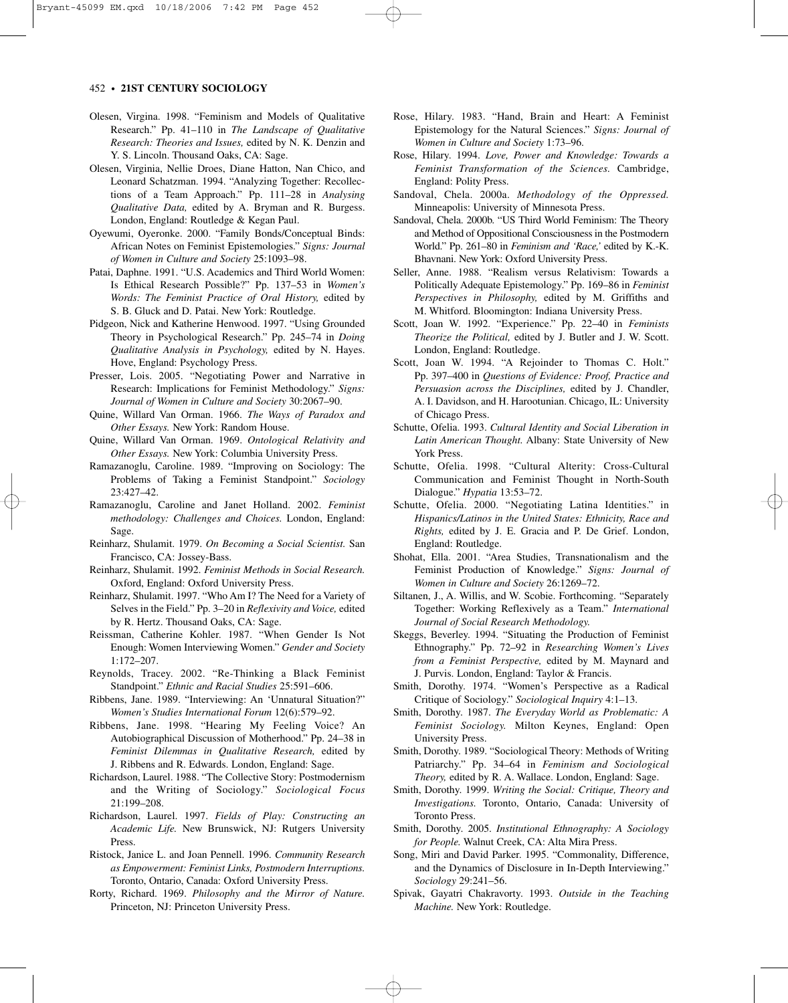- Olesen, Virgina. 1998. "Feminism and Models of Qualitative Research." Pp. 41–110 in *The Landscape of Qualitative Research: Theories and Issues,* edited by N. K. Denzin and Y. S. Lincoln. Thousand Oaks, CA: Sage.
- Olesen, Virginia, Nellie Droes, Diane Hatton, Nan Chico, and Leonard Schatzman. 1994. "Analyzing Together: Recollections of a Team Approach." Pp. 111–28 in *Analysing Qualitative Data,* edited by A. Bryman and R. Burgess. London, England: Routledge & Kegan Paul.
- Oyewumi, Oyeronke. 2000. "Family Bonds/Conceptual Binds: African Notes on Feminist Epistemologies." *Signs: Journal of Women in Culture and Society* 25:1093–98.
- Patai, Daphne. 1991. "U.S. Academics and Third World Women: Is Ethical Research Possible?" Pp. 137–53 in *Women's Words: The Feminist Practice of Oral History,* edited by S. B. Gluck and D. Patai. New York: Routledge.
- Pidgeon, Nick and Katherine Henwood. 1997. "Using Grounded Theory in Psychological Research." Pp. 245–74 in *Doing Qualitative Analysis in Psychology,* edited by N. Hayes. Hove, England: Psychology Press.
- Presser, Lois. 2005. "Negotiating Power and Narrative in Research: Implications for Feminist Methodology." *Signs: Journal of Women in Culture and Society* 30:2067–90.
- Quine, Willard Van Orman. 1966. *The Ways of Paradox and Other Essays.* New York: Random House.
- Quine, Willard Van Orman. 1969. *Ontological Relativity and Other Essays.* New York: Columbia University Press.
- Ramazanoglu, Caroline. 1989. "Improving on Sociology: The Problems of Taking a Feminist Standpoint." *Sociology* 23:427–42.
- Ramazanoglu, Caroline and Janet Holland. 2002. *Feminist methodology: Challenges and Choices.* London, England: Sage.
- Reinharz, Shulamit. 1979. *On Becoming a Social Scientist.* San Francisco, CA: Jossey-Bass.
- Reinharz, Shulamit. 1992. *Feminist Methods in Social Research.* Oxford, England: Oxford University Press.
- Reinharz, Shulamit. 1997. "Who Am I? The Need for a Variety of Selves in the Field." Pp. 3–20 in *Reflexivity and Voice,* edited by R. Hertz. Thousand Oaks, CA: Sage.
- Reissman, Catherine Kohler. 1987. "When Gender Is Not Enough: Women Interviewing Women." *Gender and Society* 1:172–207.
- Reynolds, Tracey. 2002. "Re-Thinking a Black Feminist Standpoint." *Ethnic and Racial Studies* 25:591–606.
- Ribbens, Jane. 1989. "Interviewing: An 'Unnatural Situation?" *Women's Studies International Forum* 12(6):579–92.
- Ribbens, Jane. 1998. "Hearing My Feeling Voice? An Autobiographical Discussion of Motherhood." Pp. 24–38 in *Feminist Dilemmas in Qualitative Research,* edited by J. Ribbens and R. Edwards. London, England: Sage.
- Richardson, Laurel. 1988. "The Collective Story: Postmodernism and the Writing of Sociology." *Sociological Focus* 21:199–208.
- Richardson, Laurel. 1997. *Fields of Play: Constructing an Academic Life.* New Brunswick, NJ: Rutgers University Press.
- Ristock, Janice L. and Joan Pennell. 1996. *Community Research as Empowerment: Feminist Links, Postmodern Interruptions.* Toronto, Ontario, Canada: Oxford University Press.
- Rorty, Richard. 1969. *Philosophy and the Mirror of Nature.* Princeton, NJ: Princeton University Press.
- Rose, Hilary. 1983. "Hand, Brain and Heart: A Feminist Epistemology for the Natural Sciences." *Signs: Journal of Women in Culture and Society* 1:73–96.
- Rose, Hilary. 1994. *Love, Power and Knowledge: Towards a Feminist Transformation of the Sciences.* Cambridge, England: Polity Press.
- Sandoval, Chela. 2000a. *Methodology of the Oppressed.* Minneapolis: University of Minnesota Press.
- Sandoval, Chela. 2000b. "US Third World Feminism: The Theory and Method of Oppositional Consciousness in the Postmodern World." Pp. 261–80 in *Feminism and 'Race,'* edited by K.-K. Bhavnani. New York: Oxford University Press.
- Seller, Anne. 1988. "Realism versus Relativism: Towards a Politically Adequate Epistemology." Pp. 169–86 in *Feminist Perspectives in Philosophy,* edited by M. Griffiths and M. Whitford. Bloomington: Indiana University Press.
- Scott, Joan W. 1992. "Experience." Pp. 22–40 in *Feminists Theorize the Political,* edited by J. Butler and J. W. Scott. London, England: Routledge.
- Scott, Joan W. 1994. "A Rejoinder to Thomas C. Holt." Pp. 397–400 in *Questions of Evidence: Proof, Practice and Persuasion across the Disciplines,* edited by J. Chandler, A. I. Davidson, and H. Harootunian. Chicago, IL: University of Chicago Press.
- Schutte, Ofelia. 1993. *Cultural Identity and Social Liberation in Latin American Thought.* Albany: State University of New York Press.
- Schutte, Ofelia. 1998. "Cultural Alterity: Cross-Cultural Communication and Feminist Thought in North-South Dialogue." *Hypatia* 13:53–72.
- Schutte, Ofelia. 2000. "Negotiating Latina Identities." in *Hispanics/Latinos in the United States: Ethnicity, Race and Rights,* edited by J. E. Gracia and P. De Grief. London, England: Routledge.
- Shohat, Ella. 2001. "Area Studies, Transnationalism and the Feminist Production of Knowledge." *Signs: Journal of Women in Culture and Society* 26:1269–72.
- Siltanen, J., A. Willis, and W. Scobie. Forthcoming. "Separately Together: Working Reflexively as a Team." *International Journal of Social Research Methodology.*
- Skeggs, Beverley. 1994. "Situating the Production of Feminist Ethnography." Pp. 72–92 in *Researching Women's Lives from a Feminist Perspective,* edited by M. Maynard and J. Purvis. London, England: Taylor & Francis.
- Smith, Dorothy. 1974. "Women's Perspective as a Radical Critique of Sociology." *Sociological Inquiry* 4:1–13.
- Smith, Dorothy. 1987. *The Everyday World as Problematic: A Feminist Sociology.* Milton Keynes, England: Open University Press.
- Smith, Dorothy. 1989. "Sociological Theory: Methods of Writing Patriarchy." Pp. 34–64 in *Feminism and Sociological Theory,* edited by R. A. Wallace. London, England: Sage.
- Smith, Dorothy. 1999. *Writing the Social: Critique, Theory and Investigations.* Toronto, Ontario, Canada: University of Toronto Press.
- Smith, Dorothy. 2005. *Institutional Ethnography: A Sociology for People.* Walnut Creek, CA: Alta Mira Press.
- Song, Miri and David Parker. 1995. "Commonality, Difference, and the Dynamics of Disclosure in In-Depth Interviewing." *Sociology* 29:241–56.
- Spivak, Gayatri Chakravorty. 1993. *Outside in the Teaching Machine.* New York: Routledge.